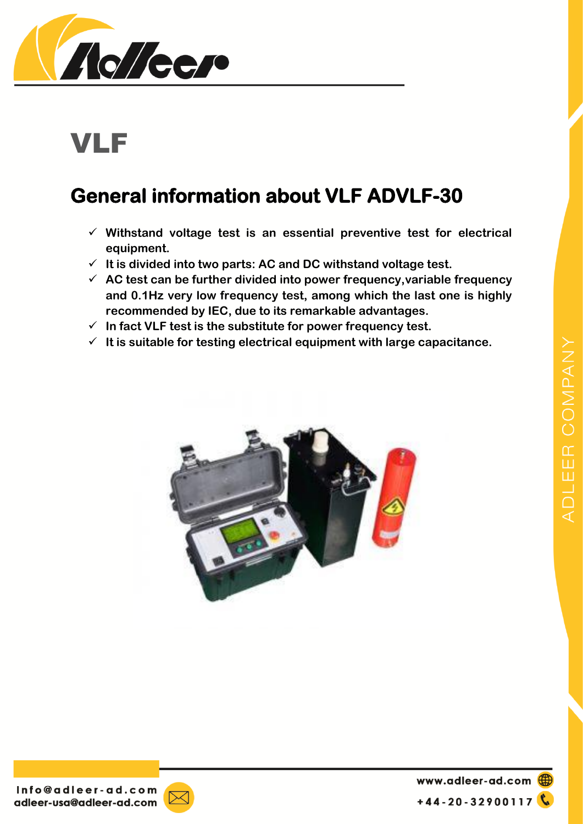

## VLF

## **General information about VLF ADVLF-30**

- **Withstand voltage test is an essential preventive test for electrical equipment.**
- **It is divided into two parts: AC and DC withstand voltage test.**
- **AC test can be further divided into power frequency,variable frequency and 0.1Hz very low frequency test, among which the last one is highly recommended by IEC, due to its remarkable advantages.**
- **In fact VLF test is the substitute for power frequency test.**
- $\checkmark$  It is suitable for testing electrical equipment with large capacitance.





www.adleer-ad.com **C**  $+44 - 20 - 32900117$